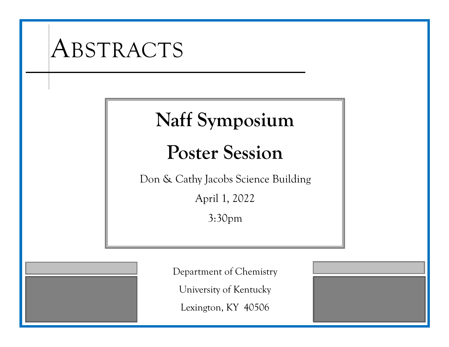# ABSTRACTS **Naff Symposium Poster Session** Don & Cathy Jacobs Science Building April 1, 2022 3:30pm Department of Chemistry University of Kentucky Lexington, KY 40506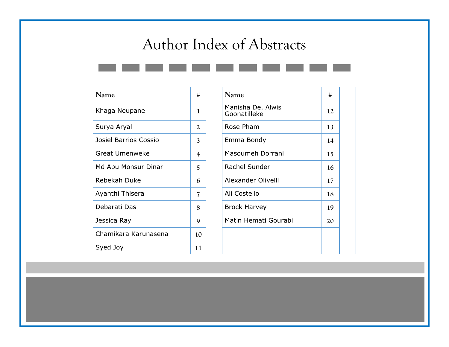# Author Index of Abstracts

| Name                  | #  | Name                              | #  |
|-----------------------|----|-----------------------------------|----|
| Khaga Neupane         | 1  | Manisha De. Alwis<br>Goonatilleke | 12 |
| Surya Aryal           | 2  | Rose Pham                         | 13 |
| Josiel Barrios Cossio | 3  | Emma Bondy                        | 14 |
| <b>Great Umenweke</b> | 4  | Masoumeh Dorrani                  | 15 |
| Md Abu Monsur Dinar   | 5  | Rachel Sunder                     | 16 |
| Rebekah Duke          | 6  | Alexander Olivelli                | 17 |
| Ayanthi Thisera       | 7  | Ali Costello                      | 18 |
| Debarati Das          | 8  | <b>Brock Harvey</b>               | 19 |
| Jessica Ray           | 9  | Matin Hemati Gourabi              | 20 |
| Chamikara Karunasena  | 10 |                                   |    |
| Syed Joy              | 11 |                                   |    |

| Name                              | #  |  |
|-----------------------------------|----|--|
| Manisha De. Alwis<br>Goonatilleke | 12 |  |
| Rose Pham                         | 13 |  |
| Emma Bondy                        | 14 |  |
| Masoumeh Dorrani                  | 15 |  |
| <b>Rachel Sunder</b>              | 16 |  |
| Alexander Olivelli                | 17 |  |
| Ali Costello                      | 18 |  |
| Brock Harvey                      | 19 |  |
| Matin Hemati Gourabi              | 20 |  |
|                                   |    |  |
|                                   |    |  |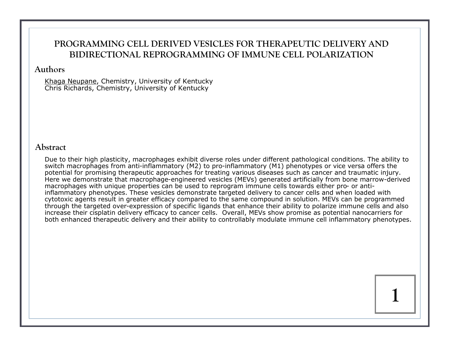# **PROGRAMMING CELL DERIVED VESICLES FOR THERAPEUTIC DELIVERY AND BIDIRECTIONAL REPROGRAMMING OF IMMUNE CELL POLARIZATION**

#### **Authors**

Khaga Neupane, Chemistry, University of Kentucky Chris Richards, Chemistry, University of Kentucky

#### **Abstract**

Due to their high plasticity, macrophages exhibit diverse roles under different pathological conditions. The ability to switch macrophages from anti-inflammatory (M2) to pro-inflammatory (M1) phenotypes or vice versa offers the potential for promising therapeutic approaches for treating various diseases such as cancer and traumatic injury. Here we demonstrate that macrophage-engineered vesicles (MEVs) generated artificially from bone marrow-derived macrophages with unique properties can be used to reprogram immune cells towards either pro- or antiinflammatory phenotypes. These vesicles demonstrate targeted delivery to cancer cells and when loaded with cytotoxic agents result in greater efficacy compared to the same compound in solution. MEVs can be programmed through the targeted over-expression of specific ligands that enhance their ability to polarize immune cells and also increase their cisplatin delivery efficacy to cancer cells. Overall, MEVs show promise as potential nanocarriers for both enhanced therapeutic delivery and their ability to controllably modulate immune cell inflammatory phenotypes.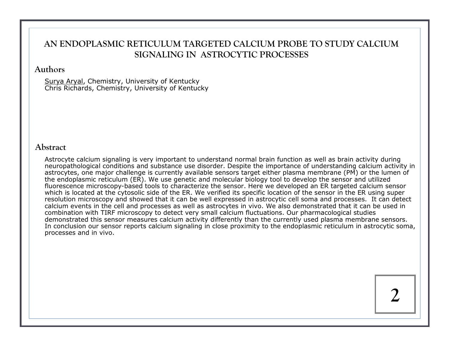# **AN ENDOPLASMIC RETICULUM TARGETED CALCIUM PROBE TO STUDY CALCIUM SIGNALING IN ASTROCYTIC PROCESSES**

#### **Authors**

Surya Aryal, Chemistry, University of Kentucky Chris Richards, Chemistry, University of Kentucky

#### **Abstract**

Astrocyte calcium signaling is very important to understand normal brain function as well as brain activity during neuropathological conditions and substance use disorder. Despite the importance of understanding calcium activity in astrocytes, one major challenge is currently available sensors target either plasma membrane (PM) or the lumen of the endoplasmic reticulum (ER). We use genetic and molecular biology tool to develop the sensor and utilized fluorescence microscopy-based tools to characterize the sensor. Here we developed an ER targeted calcium sensor which is located at the cytosolic side of the ER. We verified its specific location of the sensor in the ER using super resolution microscopy and showed that it can be well expressed in astrocytic cell soma and processes. It can detect calcium events in the cell and processes as well as astrocytes in vivo. We also demonstrated that it can be used in combination with TIRF microscopy to detect very small calcium fluctuations. Our pharmacological studies demonstrated this sensor measures calcium activity differently than the currently used plasma membrane sensors. In conclusion our sensor reports calcium signaling in close proximity to the endoplasmic reticulum in astrocytic soma, processes and in vivo.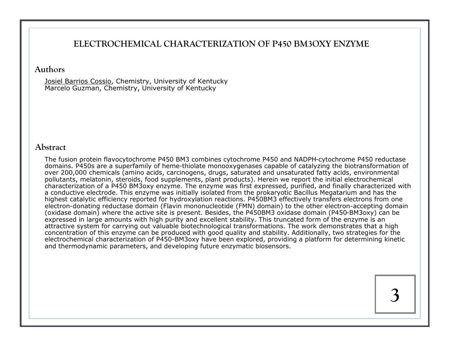### **ELECTROCHEMICAL CHARACTERIZATION OF P450 BM3OXY ENZYME**

#### **Authors**

Josiel Barrios Cossio, Chemistry, University of Kentucky Marcelo Guzman, Chemistry, University of Kentucky

#### **Abstract**

The fusion protein flavocytochrome P450 BM3 combines cytochrome P450 and NADPH-cytochrome P450 reductase domains. P450s are a superfamily of heme-thiolate monooxygenases capable of catalyzing the biotransformation of over 200,000 chemicals (amino acids, carcinogens, drugs, saturated and unsaturated fatty acids, environmental pollutants, melatonin, steroids, food supplements, plant products). Herein we report the initial electrochemical characterization of a P450 BM3oxy enzyme. The enzyme was first expressed, purified, and finally characterized with a conductive electrode. This enzyme was initially isolated from the prokaryotic Bacillus Megatarium and has the highest catalytic efficiency reported for hydroxylation reactions. P450BM3 effectively transfers electrons from one electron-donating reductase domain (Flavin mononucleotide (FMN) domain) to the other electron-accepting domain (oxidase domain) where the active site is present. Besides, the P450BM3 oxidase domain (P450-BM3oxy) can be expressed in large amounts with high purity and excellent stability. This truncated form of the enzyme is an attractive system for carrying out valuable biotechnological transformations. The work demonstrates that a high concentration of this enzyme can be produced with good quality and stability. Additionally, two strategies for the electrochemical characterization of P450-BM3oxy have been explored, providing a platform for determining kinetic and thermodynamic parameters, and developing future enzymatic biosensors.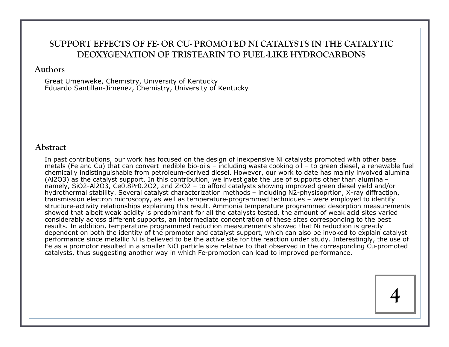# **SUPPORT EFFECTS OF FE- OR CU- PROMOTED NI CATALYSTS IN THE CATALYTIC DEOXYGENATION OF TRISTEARIN TO FUEL-LIKE HYDROCARBONS**

#### **Authors**

Great Umenweke, Chemistry, University of Kentucky Eduardo Santillan-Jimenez, Chemistry, University of Kentucky

#### **Abstract**

In past contributions, our work has focused on the design of inexpensive Ni catalysts promoted with other base metals (Fe and Cu) that can convert inedible bio-oils – including waste cooking oil – to green diesel, a renewable fuel chemically indistinguishable from petroleum-derived diesel. However, our work to date has mainly involved alumina (Al2O3) as the catalyst support. In this contribution, we investigate the use of supports other than alumina – namely, SiO2-Al2O3, Ce0.8Pr0.2O2, and ZrO2 – to afford catalysts showing improved green diesel yield and/or hydrothermal stability. Several catalyst characterization methods – including N2-physisoprtion, X-ray diffraction, transmission electron microscopy, as well as temperature-programmed techniques – were employed to identify structure-activity relationships explaining this result. Ammonia temperature programmed desorption measurements showed that albeit weak acidity is predominant for all the catalysts tested, the amount of weak acid sites varied considerably across different supports, an intermediate concentration of these sites corresponding to the best results. In addition, temperature programmed reduction measurements showed that Ni reduction is greatly dependent on both the identity of the promoter and catalyst support, which can also be invoked to explain catalyst performance since metallic Ni is believed to be the active site for the reaction under study. Interestingly, the use of Fe as a promotor resulted in a smaller NiO particle size relative to that observed in the corresponding Cu-promoted catalysts, thus suggesting another way in which Fe-promotion can lead to improved performance.

**4**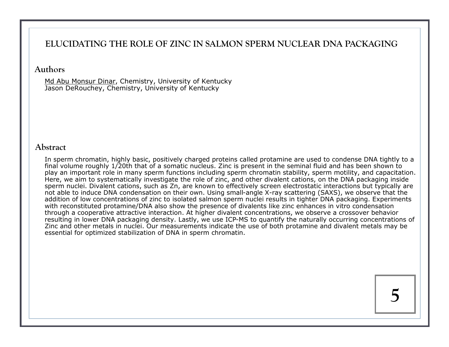## **ELUCIDATING THE ROLE OF ZINC IN SALMON SPERM NUCLEAR DNA PACKAGING**

#### **Authors**

Md Abu Monsur Dinar, Chemistry, University of Kentucky Jason DeRouchey, Chemistry, University of Kentucky

#### **Abstract**

In sperm chromatin, highly basic, positively charged proteins called protamine are used to condense DNA tightly to a final volume roughly 1/20th that of a somatic nucleus. Zinc is present in the seminal fluid and has been shown to play an important role in many sperm functions including sperm chromatin stability, sperm motility, and capacitation. Here, we aim to systematically investigate the role of zinc, and other divalent cations, on the DNA packaging inside sperm nuclei. Divalent cations, such as Zn, are known to effectively screen electrostatic interactions but typically are not able to induce DNA condensation on their own. Using small-angle X-ray scattering (SAXS), we observe that the addition of low concentrations of zinc to isolated salmon sperm nuclei results in tighter DNA packaging. Experiments with reconstituted protamine/DNA also show the presence of divalents like zinc enhances in vitro condensation through a cooperative attractive interaction. At higher divalent concentrations, we observe a crossover behavior resulting in lower DNA packaging density. Lastly, we use ICP-MS to quantify the naturally occurring concentrations of Zinc and other metals in nuclei. Our measurements indicate the use of both protamine and divalent metals may be essential for optimized stabilization of DNA in sperm chromatin.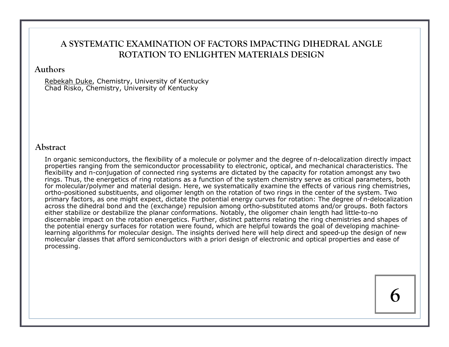# **A SYSTEMATIC EXAMINATION OF FACTORS IMPACTING DIHEDRAL ANGLE ROTATION TO ENLIGHTEN MATERIALS DESIGN**

#### **Authors**

Rebekah Duke, Chemistry, University of Kentucky Chad Risko, Chemistry, University of Kentucky

#### **Abstract**

In organic semiconductors, the flexibility of a molecule or polymer and the degree of π-delocalization directly impact properties ranging from the semiconductor processability to electronic, optical, and mechanical characteristics. The flexibility and π-conjugation of connected ring systems are dictated by the capacity for rotation amongst any two rings. Thus, the energetics of ring rotations as a function of the system chemistry serve as critical parameters, both for molecular/polymer and material design. Here, we systematically examine the effects of various ring chemistries, ortho-positioned substituents, and oligomer length on the rotation of two rings in the center of the system. Two primary factors, as one might expect, dictate the potential energy curves for rotation: The degree of π-delocalization across the dihedral bond and the (exchange) repulsion among ortho-substituted atoms and/or groups. Both factors either stabilize or destabilize the planar conformations. Notably, the oligomer chain length had little-to-no discernable impact on the rotation energetics. Further, distinct patterns relating the ring chemistries and shapes of the potential energy surfaces for rotation were found, which are helpful towards the goal of developing machinelearning algorithms for molecular design. The insights derived here will help direct and speed-up the design of new molecular classes that afford semiconductors with a priori design of electronic and optical properties and ease of processing.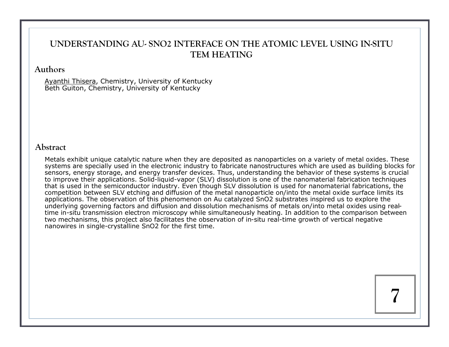# **UNDERSTANDING AU- SNO2 INTERFACE ON THE ATOMIC LEVEL USING IN-SITU TEM HEATING**

#### **Authors**

Ayanthi Thisera, Chemistry, University of Kentucky Beth Guiton, Chemistry, University of Kentucky

#### **Abstract**

Metals exhibit unique catalytic nature when they are deposited as nanoparticles on a variety of metal oxides. These systems are specially used in the electronic industry to fabricate nanostructures which are used as building blocks for sensors, energy storage, and energy transfer devices. Thus, understanding the behavior of these systems is crucial to improve their applications. Solid-liquid-vapor (SLV) dissolution is one of the nanomaterial fabrication techniques that is used in the semiconductor industry. Even though SLV dissolution is used for nanomaterial fabrications, the competition between SLV etching and diffusion of the metal nanoparticle on/into the metal oxide surface limits its applications. The observation of this phenomenon on Au catalyzed SnO2 substrates inspired us to explore the underlying governing factors and diffusion and dissolution mechanisms of metals on/into metal oxides using realtime in-situ transmission electron microscopy while simultaneously heating. In addition to the comparison between two mechanisms, this project also facilitates the observation of in-situ real-time growth of vertical negative nanowires in single-crystalline SnO2 for the first time.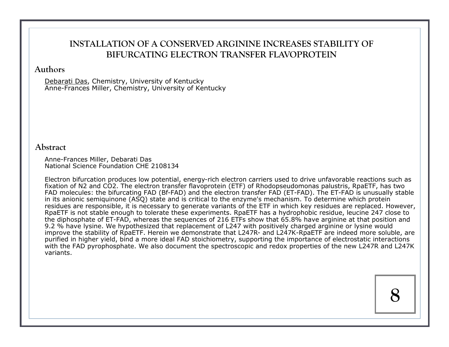# **INSTALLATION OF A CONSERVED ARGININE INCREASES STABILITY OF BIFURCATING ELECTRON TRANSFER FLAVOPROTEIN**

#### **Authors**

Debarati Das, Chemistry, University of Kentucky Anne-Frances Miller, Chemistry, University of Kentucky

#### **Abstract**

Anne-Frances Miller, Debarati Das National Science Foundation CHE 2108134

Electron bifurcation produces low potential, energy-rich electron carriers used to drive unfavorable reactions such as fixation of N2 and CO2. The electron transfer flavoprotein (ETF) of Rhodopseudomonas palustris, RpaETF, has two FAD molecules: the bifurcating FAD (Bf-FAD) and the electron transfer FAD (ET-FAD). The ET-FAD is unusually stable in its anionic semiquinone (ASQ) state and is critical to the enzyme's mechanism. To determine which protein residues are responsible, it is necessary to generate variants of the ETF in which key residues are replaced. However, RpaETF is not stable enough to tolerate these experiments. RpaETF has a hydrophobic residue, leucine 247 close to the diphosphate of ET-FAD, whereas the sequences of 216 ETFs show that 65.8% have arginine at that position and 9.2 % have lysine. We hypothesized that replacement of L247 with positively charged arginine or lysine would improve the stability of RpaETF. Herein we demonstrate that L247R- and L247K-RpaETF are indeed more soluble, are purified in higher yield, bind a more ideal FAD stoichiometry, supporting the importance of electrostatic interactions with the FAD pyrophosphate. We also document the spectroscopic and redox properties of the new L247R and L247K variants.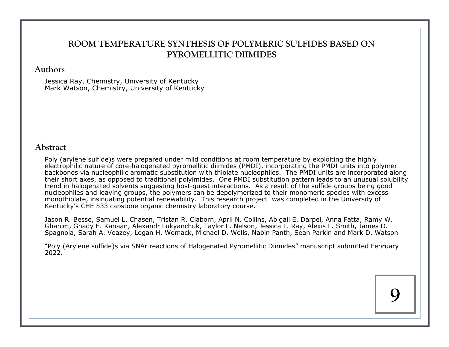# **ROOM TEMPERATURE SYNTHESIS OF POLYMERIC SULFIDES BASED ON PYROMELLITIC DIIMIDES**

#### **Authors**

Jessica Ray, Chemistry, University of Kentucky Mark Watson, Chemistry, University of Kentucky

#### **Abstract**

Poly (arylene sulfide)s were prepared under mild conditions at room temperature by exploiting the highly electrophilic nature of core-halogenated pyromellitic diimides (PMDI), incorporating the PMDI units into polymer backbones via nucleophilic aromatic substitution with thiolate nucleophiles. The PMDI units are incorporated along their short axes, as opposed to traditional polyimides. One PMDI substitution pattern leads to an unusual solubility trend in halogenated solvents suggesting host-guest interactions. As a result of the sulfide groups being good nucleophiles and leaving groups, the polymers can be depolymerized to their monomeric species with excess monothiolate, insinuating potential renewability. This research project was completed in the University of Kentucky's CHE 533 capstone organic chemistry laboratory course.

Jason R. Besse, Samuel L. Chasen, Tristan R. Claborn, April N. Collins, Abigail E. Darpel, Anna Fatta, Ramy W. Ghanim, Ghady E. Kanaan, Alexandr Lukyanchuk, Taylor L. Nelson, Jessica L. Ray, Alexis L. Smith, James D. Spagnola, Sarah A. Veazey, Logan H. Womack, Michael D. Wells, Nabin Panth, Sean Parkin and Mark D. Watson

"Poly (Arylene sulfide)s via SNAr reactions of Halogenated Pyromellitic Diimides" manuscript submitted February 2022.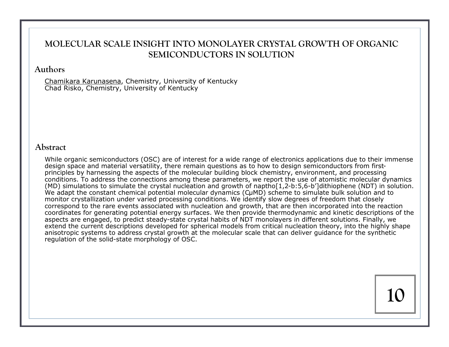# **MOLECULAR SCALE INSIGHT INTO MONOLAYER CRYSTAL GROWTH OF ORGANIC SEMICONDUCTORS IN SOLUTION**

#### **Authors**

Chamikara Karunasena, Chemistry, University of Kentucky Chad Risko, Chemistry, University of Kentucky

#### **Abstract**

While organic semiconductors (OSC) are of interest for a wide range of electronics applications due to their immense design space and material versatility, there remain questions as to how to design semiconductors from firstprinciples by harnessing the aspects of the molecular building block chemistry, environment, and processing conditions. To address the connections among these parameters, we report the use of atomistic molecular dynamics (MD) simulations to simulate the crystal nucleation and growth of naptho[1,2-b:5,6-b']dithiophene (NDT) in solution. We adapt the constant chemical potential molecular dynamics (CuMD) scheme to simulate bulk solution and to monitor crystallization under varied processing conditions. We identify slow degrees of freedom that closely correspond to the rare events associated with nucleation and growth, that are then incorporated into the reaction coordinates for generating potential energy surfaces. We then provide thermodynamic and kinetic descriptions of the aspects are engaged, to predict steady-state crystal habits of NDT monolayers in different solutions. Finally, we extend the current descriptions developed for spherical models from critical nucleation theory, into the highly shape anisotropic systems to address crystal growth at the molecular scale that can deliver guidance for the synthetic regulation of the solid-state morphology of OSC.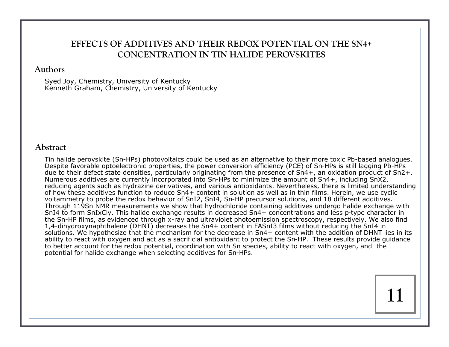# **EFFECTS OF ADDITIVES AND THEIR REDOX POTENTIAL ON THE SN4+ CONCENTRATION IN TIN HALIDE PEROVSKITES**

#### **Authors**

Syed Joy, Chemistry, University of Kentucky Kenneth Graham, Chemistry, University of Kentucky

#### **Abstract**

Tin halide perovskite (Sn-HPs) photovoltaics could be used as an alternative to their more toxic Pb-based analogues. Despite favorable optoelectronic properties, the power conversion efficiency (PCE) of Sn-HPs is still lagging Pb-HPs due to their defect state densities, particularly originating from the presence of Sn4+, an oxidation product of Sn2+. Numerous additives are currently incorporated into Sn-HPs to minimize the amount of Sn4+, including SnX2, reducing agents such as hydrazine derivatives, and various antioxidants. Nevertheless, there is limited understanding of how these additives function to reduce Sn4+ content in solution as well as in thin films. Herein, we use cyclic voltammetry to probe the redox behavior of SnI2, SnI4, Sn-HP precursor solutions, and 18 different additives. Through 119Sn NMR measurements we show that hydrochloride containing additives undergo halide exchange with SnI4 to form SnIxCly. This halide exchange results in decreased Sn4+ concentrations and less p-type character in the Sn-HP films, as evidenced through x-ray and ultraviolet photoemission spectroscopy, respectively. We also find 1,4-dihydroxynaphthalene (DHNT) decreases the Sn4+ content in FASnI3 films without reducing the SnI4 in solutions. We hypothesize that the mechanism for the decrease in Sn4+ content with the addition of DHNT lies in its ability to react with oxygen and act as a sacrificial antioxidant to protect the Sn-HP. These results provide guidance to better account for the redox potential, coordination with Sn species, ability to react with oxygen, and the potential for halide exchange when selecting additives for Sn-HPs.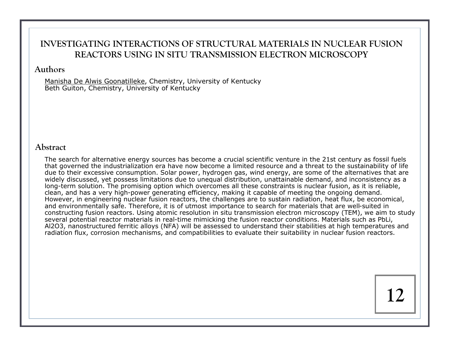# **INVESTIGATING INTERACTIONS OF STRUCTURAL MATERIALS IN NUCLEAR FUSION REACTORS USING IN SITU TRANSMISSION ELECTRON MICROSCOPY**

#### **Authors**

Manisha De Alwis Goonatilleke, Chemistry, University of Kentucky Beth Guiton, Chemistry, University of Kentucky

#### **Abstract**

The search for alternative energy sources has become a crucial scientific venture in the 21st century as fossil fuels that governed the industrialization era have now become a limited resource and a threat to the sustainability of life due to their excessive consumption. Solar power, hydrogen gas, wind energy, are some of the alternatives that are widely discussed, yet possess limitations due to unequal distribution, unattainable demand, and inconsistency as a long-term solution. The promising option which overcomes all these constraints is nuclear fusion, as it is reliable, clean, and has a very high-power generating efficiency, making it capable of meeting the ongoing demand. However, in engineering nuclear fusion reactors, the challenges are to sustain radiation, heat flux, be economical, and environmentally safe. Therefore, it is of utmost importance to search for materials that are well-suited in constructing fusion reactors. Using atomic resolution in situ transmission electron microscopy (TEM), we aim to study several potential reactor materials in real-time mimicking the fusion reactor conditions. Materials such as PbLi, Al2O3, nanostructured ferritic alloys (NFA) will be assessed to understand their stabilities at high temperatures and radiation flux, corrosion mechanisms, and compatibilities to evaluate their suitability in nuclear fusion reactors.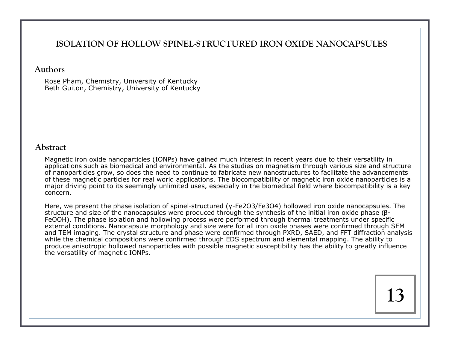# **ISOLATION OF HOLLOW SPINEL-STRUCTURED IRON OXIDE NANOCAPSULES**

#### **Authors**

Rose Pham, Chemistry, University of Kentucky Beth Guiton, Chemistry, University of Kentucky

#### **Abstract**

Magnetic iron oxide nanoparticles (IONPs) have gained much interest in recent years due to their versatility in applications such as biomedical and environmental. As the studies on magnetism through various size and structure of nanoparticles grow, so does the need to continue to fabricate new nanostructures to facilitate the advancements of these magnetic particles for real world applications. The biocompatibility of magnetic iron oxide nanoparticles is a major driving point to its seemingly unlimited uses, especially in the biomedical field where biocompatibility is a key concern.

Here, we present the phase isolation of spinel-structured (γ-Fe2O3/Fe3O4) hollowed iron oxide nanocapsules. The structure and size of the nanocapsules were produced through the synthesis of the initial iron oxide phase (β-FeOOH). The phase isolation and hollowing process were performed through thermal treatments under specific external conditions. Nanocapsule morphology and size were for all iron oxide phases were confirmed through SEM and TEM imaging. The crystal structure and phase were confirmed through PXRD, SAED, and FFT diffraction analysis while the chemical compositions were confirmed through EDS spectrum and elemental mapping. The ability to produce anisotropic hollowed nanoparticles with possible magnetic susceptibility has the ability to greatly influence the versatility of magnetic IONPs.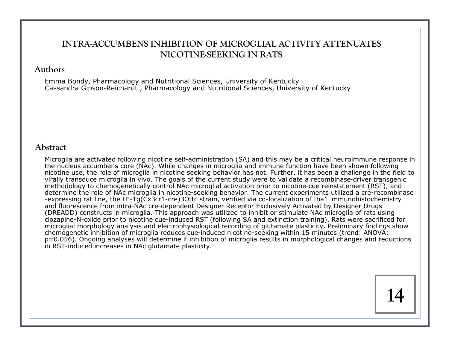# **INTRA-ACCUMBENS INHIBITION OF MICROGLIAL ACTIVITY ATTENUATES NICOTINE-SEEKING IN RATS**

#### **Authors**

Emma Bondy, Pharmacology and Nutritional Sciences, University of Kentucky Cassandra Gipson-Reichardt , Pharmacology and Nutritional Sciences, University of Kentucky

#### **Abstract**

Microglia are activated following nicotine self-administration (SA) and this may be a critical neuroimmune response in the nucleus accumbens core (NAc). While changes in microglia and immune function have been shown following nicotine use, the role of microglia in nicotine seeking behavior has not. Further, it has been a challenge in the field to virally transduce microglia in vivo. The goals of the current study were to validate a recombinase-driver transgenic methodology to chemogenetically control NAc microglial activation prior to nicotine-cue reinstatement (RST), and determine the role of NAc microglia in nicotine-seeking behavior. The current experiments utilized a cre-recombinase -expressing rat line, the LE-Tg(Cx3cr1-cre)3Ottc strain, verified via co-localization of Iba1 immunohistochemistry and fluorescence from intra-NAc cre-dependent Designer Receptor Exclusively Activated by Designer Drugs (DREADD) constructs in microglia. This approach was utilized to inhibit or stimulate NAc microglia of rats using clozapine-N-oxide prior to nicotine cue-induced RST (following SA and extinction training). Rats were sacrificed for microglial morphology analysis and electrophysiological recording of glutamate plasticity. Preliminary findings show chemogenetic inhibition of microglia reduces cue-induced nicotine-seeking within 15 minutes (trend: ANOVA; p=0.056). Ongoing analyses will determine if inhibition of microglia results in morphological changes and reductions in RST-induced increases in NAc glutamate plasticity.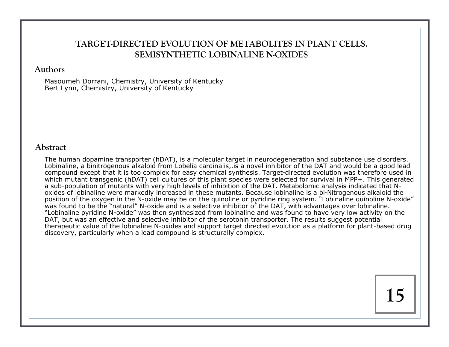# **TARGET-DIRECTED EVOLUTION OF METABOLITES IN PLANT CELLS. SEMISYNTHETIC LOBINALINE N-OXIDES**

#### **Authors**

Masoumeh Dorrani, Chemistry, University of Kentucky Bert Lynn, Chemistry, University of Kentucky

#### **Abstract**

The human dopamine transporter (hDAT), is a molecular target in neurodegeneration and substance use disorders. Lobinaline, a binitrogenous alkaloid from Lobelia cardinalis,.is a novel inhibitor of the DAT and would be a good lead compound except that it is too complex for easy chemical synthesis. Target-directed evolution was therefore used in which mutant transgenic (hDAT) cell cultures of this plant species were selected for survival in MPP+. This generated a sub-population of mutants with very high levels of inhibition of the DAT. Metabolomic analysis indicated that Noxides of lobinaline were markedly increased in these mutants. Because lobinaline is a bi-Nitrogenous alkaloid the position of the oxygen in the N-oxide may be on the quinoline or pyridine ring system. "Lobinaline quinoline N-oxide" was found to be the "natural" N-oxide and is a selective inhibitor of the DAT, with advantages over lobinaline. "Lobinaline pyridine N-oxide" was then synthesized from lobinaline and was found to have very low activity on the DAT, but was an effective and selective inhibitor of the serotonin transporter. The results suggest potential therapeutic value of the lobinaline N-oxides and support target directed evolution as a platform for plant-based drug discovery, particularly when a lead compound is structurally complex.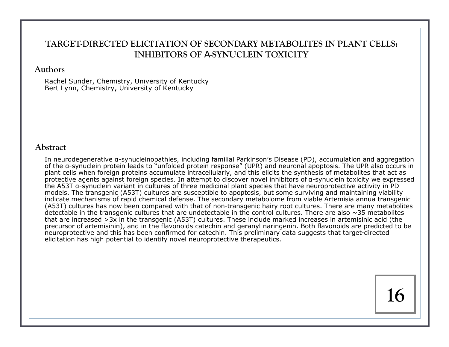# **TARGET-DIRECTED ELICITATION OF SECONDARY METABOLITES IN PLANT CELLS: INHIBITORS OF** Α**-SYNUCLEIN TOXICITY**

#### **Authors**

Rachel Sunder, Chemistry, University of Kentucky Bert Lynn, Chemistry, University of Kentucky

#### **Abstract**

In neurodegenerative α-synucleinopathies, including familial Parkinson's Disease (PD), accumulation and aggregation of the α-synuclein protein leads to "unfolded protein response" (UPR) and neuronal apoptosis. The UPR also occurs in plant cells when foreign proteins accumulate intracellularly, and this elicits the synthesis of metabolites that act as protective agents against foreign species. In attempt to discover novel inhibitors of α-synuclein toxicity we expressed the A53T α-synuclein variant in cultures of three medicinal plant species that have neuroprotective activity in PD models. The transgenic (A53T) cultures are susceptible to apoptosis, but some surviving and maintaining viability indicate mechanisms of rapid chemical defense. The secondary metabolome from viable Artemisia annua transgenic (A53T) cultures has now been compared with that of non-transgenic hairy root cultures. There are many metabolites detectable in the transgenic cultures that are undetectable in the control cultures. There are also  $\sim$ 35 metabolites that are increased >3x in the transgenic (A53T) cultures. These include marked increases in artemisinic acid (the precursor of artemisinin), and in the flavonoids catechin and geranyl naringenin. Both flavonoids are predicted to be neuroprotective and this has been confirmed for catechin. This preliminary data suggests that target-directed elicitation has high potential to identify novel neuroprotective therapeutics.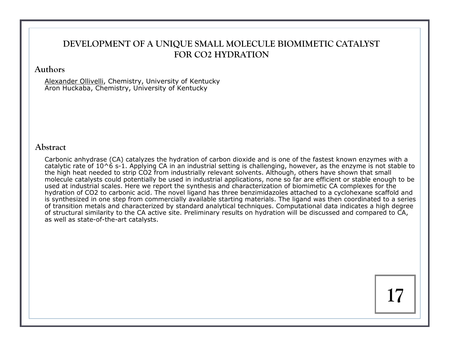# **DEVELOPMENT OF A UNIQUE SMALL MOLECULE BIOMIMETIC CATALYST FOR CO2 HYDRATION**

#### **Authors**

Alexander Ollivelli, Chemistry, University of Kentucky Aron Huckaba, Chemistry, University of Kentucky

#### **Abstract**

Carbonic anhydrase (CA) catalyzes the hydration of carbon dioxide and is one of the fastest known enzymes with a catalytic rate of  $10^{\circ}$  s-1. Applying CA in an industrial setting is challenging, however, as the enzyme is not stable to the high heat needed to strip CO2 from industrially relevant solvents. Although, others have shown that small molecule catalysts could potentially be used in industrial applications, none so far are efficient or stable enough to be used at industrial scales. Here we report the synthesis and characterization of biomimetic CA complexes for the hydration of CO2 to carbonic acid. The novel ligand has three benzimidazoles attached to a cyclohexane scaffold and is synthesized in one step from commercially available starting materials. The ligand was then coordinated to a series of transition metals and characterized by standard analytical techniques. Computational data indicates a high degree of structural similarity to the CA active site. Preliminary results on hydration will be discussed and compared to CA, as well as state-of-the-art catalysts.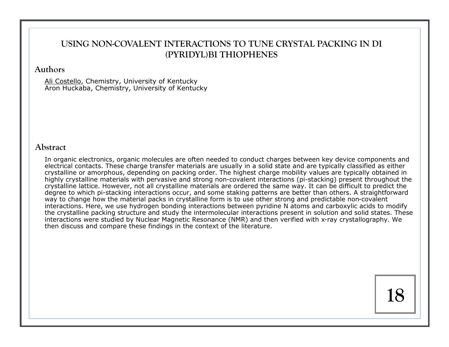# **USING NON-COVALENT INTERACTIONS TO TUNE CRYSTAL PACKING IN DI (PYRIDYL)BI THIOPHENES**

#### **Authors**

Ali Costello, Chemistry, University of Kentucky Aron Huckaba, Chemistry, University of Kentucky

#### **Abstract**

In organic electronics, organic molecules are often needed to conduct charges between key device components and electrical contacts. These charge transfer materials are usually in a solid state and are typically classified as either crystalline or amorphous, depending on packing order. The highest charge mobility values are typically obtained in highly crystalline materials with pervasive and strong non-covalent interactions (pi-stacking) present throughout the crystalline lattice. However, not all crystalline materials are ordered the same way. It can be difficult to predict the degree to which pi-stacking interactions occur, and some staking patterns are better than others. A straightforward way to change how the material packs in crystalline form is to use other strong and predictable non-covalent interactions. Here, we use hydrogen bonding interactions between pyridine N atoms and carboxylic acids to modify the crystalline packing structure and study the intermolecular interactions present in solution and solid states. These interactions were studied by Nuclear Magnetic Resonance (NMR) and then verified with x-ray crystallography. We then discuss and compare these findings in the context of the literature.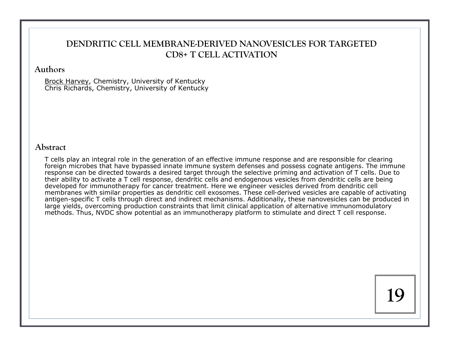# **DENDRITIC CELL MEMBRANE-DERIVED NANOVESICLES FOR TARGETED CD8+ T CELL ACTIVATION**

#### **Authors**

Brock Harvey, Chemistry, University of Kentucky Chris Richards, Chemistry, University of Kentucky

#### **Abstract**

T cells play an integral role in the generation of an effective immune response and are responsible for clearing foreign microbes that have bypassed innate immune system defenses and possess cognate antigens. The immune response can be directed towards a desired target through the selective priming and activation of T cells. Due to their ability to activate a T cell response, dendritic cells and endogenous vesicles from dendritic cells are being developed for immunotherapy for cancer treatment. Here we engineer vesicles derived from dendritic cell membranes with similar properties as dendritic cell exosomes. These cell-derived vesicles are capable of activating antigen-specific T cells through direct and indirect mechanisms. Additionally, these nanovesicles can be produced in large yields, overcoming production constraints that limit clinical application of alternative immunomodulatory methods. Thus, NVDC show potential as an immunotherapy platform to stimulate and direct T cell response.